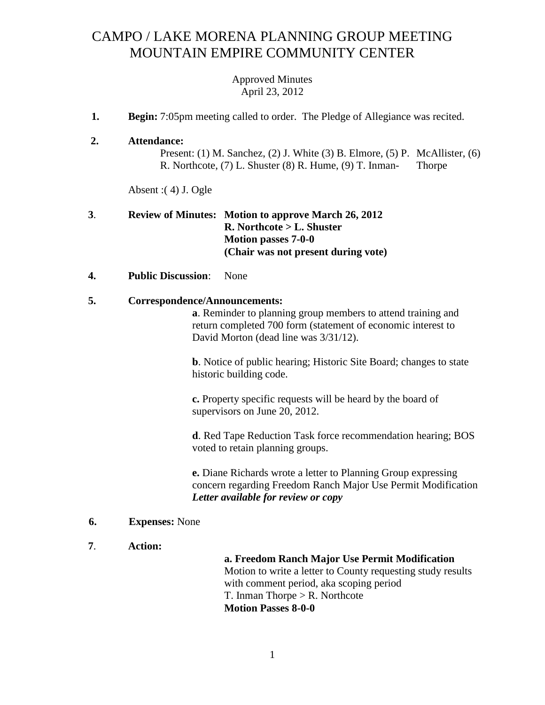# CAMPO / LAKE MORENA PLANNING GROUP MEETING MOUNTAIN EMPIRE COMMUNITY CENTER

Approved Minutes April 23, 2012

- **1. Begin:** 7:05pm meeting called to order. The Pledge of Allegiance was recited.
- **2. Attendance:**

Present: (1) M. Sanchez, (2) J. White (3) B. Elmore, (5) P. McAllister, (6) R. Northcote, (7) L. Shuster (8) R. Hume, (9) T. Inman- Thorpe

Absent :( 4) J. Ogle

## **3**. **Review of Minutes: Motion to approve March 26, 2012 R. Northcote > L. Shuster Motion passes 7-0-0 (Chair was not present during vote)**

#### **4. Public Discussion**: None

#### **5. Correspondence/Announcements:**

**a**. Reminder to planning group members to attend training and return completed 700 form (statement of economic interest to David Morton (dead line was 3/31/12).

**b**. Notice of public hearing; Historic Site Board; changes to state historic building code.

**c.** Property specific requests will be heard by the board of supervisors on June 20, 2012.

**d**. Red Tape Reduction Task force recommendation hearing; BOS voted to retain planning groups.

**e.** Diane Richards wrote a letter to Planning Group expressing concern regarding Freedom Ranch Major Use Permit Modification *Letter available for review or copy*

#### **6. Expenses:** None

**7**. **Action:** 

## **a. Freedom Ranch Major Use Permit Modification** Motion to write a letter to County requesting study results with comment period, aka scoping period T. Inman Thorpe  $>$  R. Northcote **Motion Passes 8-0-0**